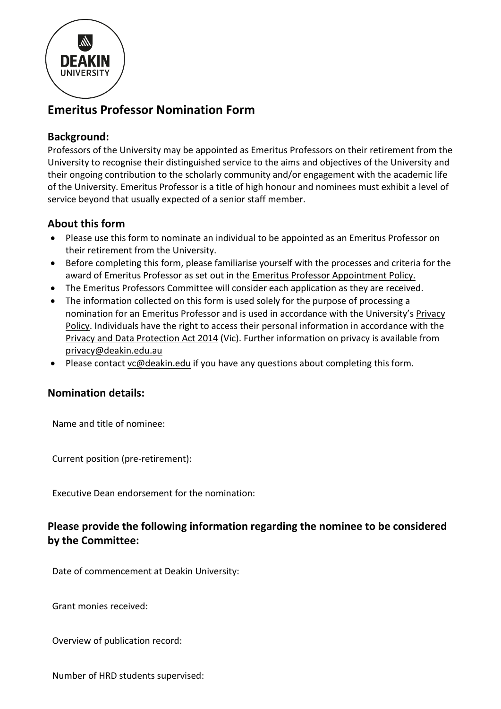

# **Emeritus Professor Nomination Form**

# **Background:**

Professors of the University may be appointed as Emeritus Professors on their retirement from the University to recognise their distinguished service to the aims and objectives of the University and their ongoing contribution to the scholarly community and/or engagement with the academic life of the University. Emeritus Professor is a title of high honour and nominees must exhibit a level of service beyond that usually expected of a senior staff member.

## **About this form**

- Please use this form to nominate an individual to be appointed as an Emeritus Professor on their retirement from the University.
- Before completing this form, please familiarise yourself with the processes and criteria for the award of Emeritus Professor as set out in th[e Emeritus Professor Appointment Policy.](https://policy.deakin.edu.au/document/view-current.php?id=235)
- The Emeritus Professors Committee will consider each application as they are received.
- The information collected on this form is used solely for the purpose of processing a nomination for an Emeritus Professor and is used in accordance with the University's [Privacy](https://policy.deakin.edu.au/view.current.php?id=00139)  [Policy.](https://policy.deakin.edu.au/view.current.php?id=00139) Individuals have the right to access their personal information in accordance with the Privacy [and Data Protection Act 2014](http://www7.austlii.edu.au/cgi-bin/viewdb/au/legis/vic/num_act/padpa201460o2014317/) (Vic). Further information on privacy is available from [privacy@deakin.edu.au](mailto:privacy@deakin.edu.au)
- Please contact [vc@deakin.edu](mailto:vc@deakin.edu) if you have any questions about completing this form.

## **Nomination details:**

Name and title of nominee:

Current position (pre-retirement):

Executive Dean endorsement for the nomination:

# **Please provide the following information regarding the nominee to be considered by the Committee:**

Date of commencement at Deakin University:

Grant monies received:

Overview of publication record:

Number of HRD students supervised: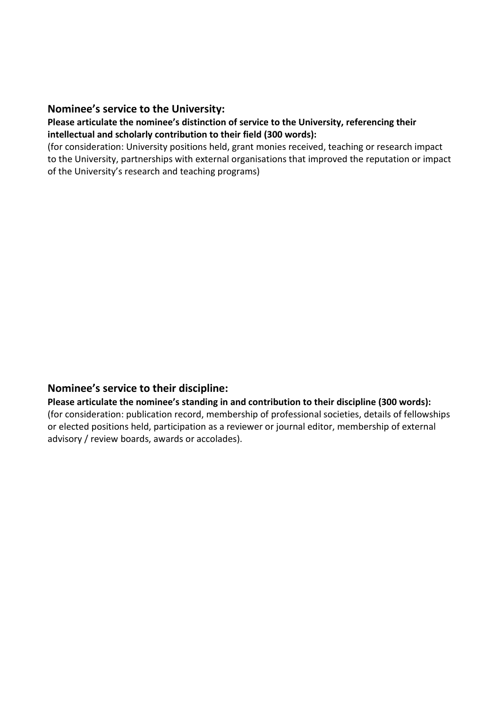#### **Nominee's service to the University:**

#### **Please articulate the nominee's distinction of service to the University, referencing their intellectual and scholarly contribution to their field (300 words):**

(for consideration: University positions held, grant monies received, teaching or research impact to the University, partnerships with external organisations that improved the reputation or impact of the University's research and teaching programs)

#### **Nominee's service to their discipline:**

**Please articulate the nominee's standing in and contribution to their discipline (300 words):** (for consideration: publication record, membership of professional societies, details of fellowships or elected positions held, participation as a reviewer or journal editor, membership of external advisory / review boards, awards or accolades).